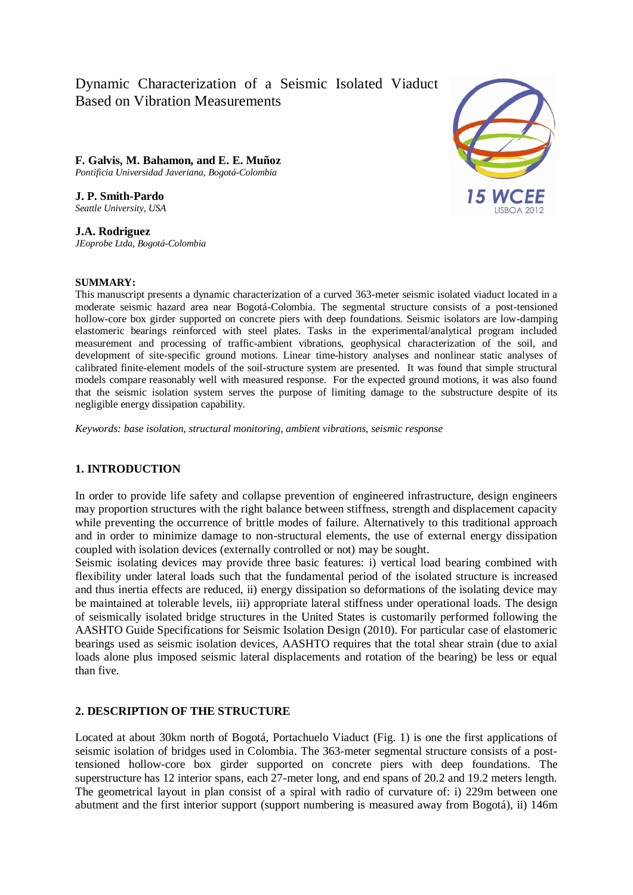# Dynamic Characterization of a Seismic Isolated Viaduct Based on Vibration Measurements

**F. Galvis, M. Bahamon, and E. E. Muñoz**  *Pontificia Universidad Javeriana, Bogotá-Colombia*

**J. P. Smith-Pardo** *Seattle University, USA*

**J.A. Rodriguez** *JEoprobe Ltda, Bogotá-Colombia*

#### **SUMMARY:**

This manuscript presents a dynamic characterization of a curved 363-meter seismic isolated viaduct located in a moderate seismic hazard area near Bogotá-Colombia. The segmental structure consists of a post-tensioned hollow-core box girder supported on concrete piers with deep foundations. Seismic isolators are low-damping elastomeric bearings reinforced with steel plates. Tasks in the experimental/analytical program included measurement and processing of traffic-ambient vibrations, geophysical characterization of the soil, and development of site-specific ground motions. Linear time-history analyses and nonlinear static analyses of calibrated finite-element models of the soil-structure system are presented. It was found that simple structural models compare reasonably well with measured response. For the expected ground motions, it was also found that the seismic isolation system serves the purpose of limiting damage to the substructure despite of its negligible energy dissipation capability.

*Keywords: base isolation, structural monitoring, ambient vibrations, seismic response*

# **1. INTRODUCTION**

In order to provide life safety and collapse prevention of engineered infrastructure, design engineers may proportion structures with the right balance between stiffness, strength and displacement capacity while preventing the occurrence of brittle modes of failure. Alternatively to this traditional approach and in order to minimize damage to non-structural elements, the use of external energy dissipation coupled with isolation devices (externally controlled or not) may be sought.

Seismic isolating devices may provide three basic features: i) vertical load bearing combined with flexibility under lateral loads such that the fundamental period of the isolated structure is increased and thus inertia effects are reduced, ii) energy dissipation so deformations of the isolating device may be maintained at tolerable levels, iii) appropriate lateral stiffness under operational loads. The design of seismically isolated bridge structures in the United States is customarily performed following the AASHTO Guide Specifications for Seismic Isolation Design (2010). For particular case of elastomeric bearings used as seismic isolation devices, AASHTO requires that the total shear strain (due to axial loads alone plus imposed seismic lateral displacements and rotation of the bearing) be less or equal than five.

# **2. DESCRIPTION OF THE STRUCTURE**

Located at about 30km north of Bogotá, Portachuelo Viaduct (Fig. 1) is one the first applications of seismic isolation of bridges used in Colombia. The 363-meter segmental structure consists of a posttensioned hollow-core box girder supported on concrete piers with deep foundations. The superstructure has 12 interior spans, each 27-meter long, and end spans of 20.2 and 19.2 meters length. The geometrical layout in plan consist of a spiral with radio of curvature of: i) 229m between one abutment and the first interior support (support numbering is measured away from Bogotá), ii) 146m

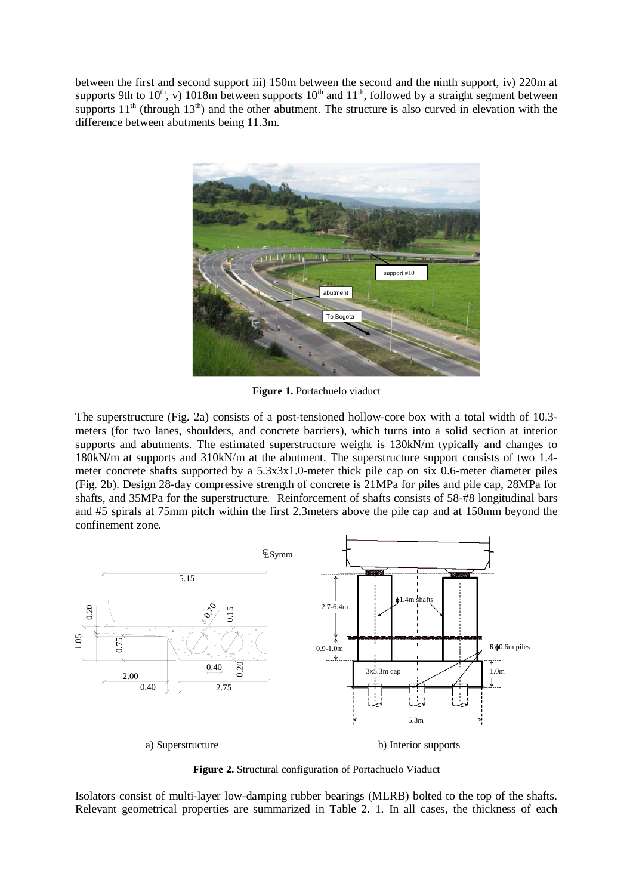between the first and second support iii) 150m between the second and the ninth support, iv) 220m at supports 9th to 10<sup>th</sup>, v) 1018m between supports 10<sup>th</sup> and 11<sup>th</sup>, followed by a straight segment between supports  $11<sup>th</sup>$  (through  $13<sup>th</sup>$ ) and the other abutment. The structure is also curved in elevation with the difference between abutments being 11.3m.



**Figure 1.** Portachuelo viaduct

The superstructure (Fig. 2a) consists of a post-tensioned hollow-core box with a total width of 10.3 meters (for two lanes, shoulders, and concrete barriers), which turns into a solid section at interior supports and abutments. The estimated superstructure weight is 130kN/m typically and changes to 180kN/m at supports and 310kN/m at the abutment. The superstructure support consists of two 1.4 meter concrete shafts supported by a 5.3x3x1.0-meter thick pile cap on six 0.6-meter diameter piles (Fig. 2b). Design 28-day compressive strength of concrete is 21MPa for piles and pile cap, 28MPa for shafts, and 35MPa for the superstructure. Reinforcement of shafts consists of 58-#8 longitudinal bars and #5 spirals at 75mm pitch within the first 2.3meters above the pile cap and at 150mm beyond the confinement zone.



**Figure 2.** Structural configuration of Portachuelo Viaduct

Isolators consist of multi-layer low-damping rubber bearings (MLRB) bolted to the top of the shafts. Relevant geometrical properties are summarized in Table 2. 1. In all cases, the thickness of each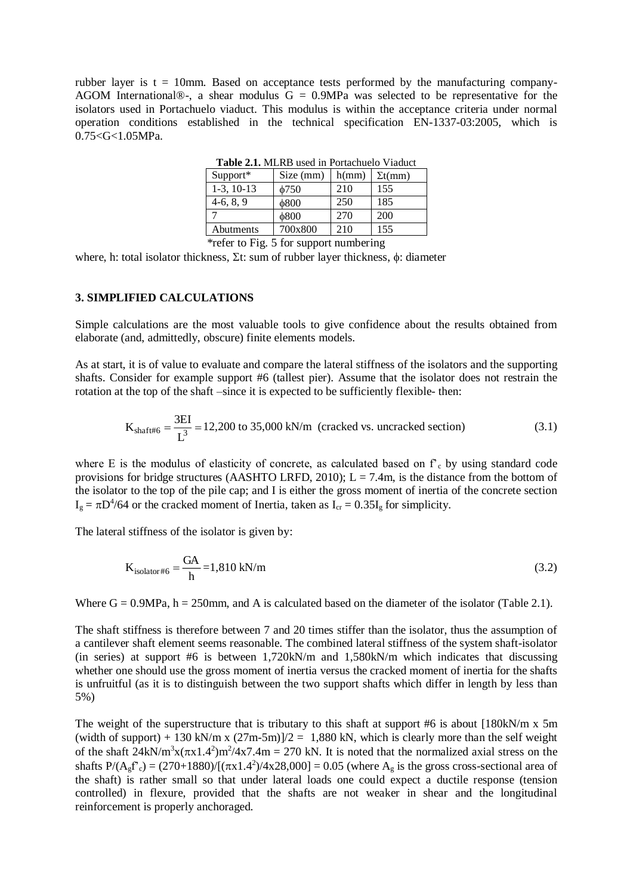rubber layer is  $t = 10$ mm. Based on acceptance tests performed by the manufacturing company-AGOM International®-, a shear modulus  $G = 0.9MPa$  was selected to be representative for the isolators used in Portachuelo viaduct. This modulus is within the acceptance criteria under normal operation conditions established in the technical specification EN-1337-03:2005, which is  $0.75 < G < 1.05 MPa$ .

| <b>Table 2.1.</b> MLKD used in Fortachuelo Viaduct |            |       |                 |  |  |  |
|----------------------------------------------------|------------|-------|-----------------|--|--|--|
| $Support*$                                         | Size (mm)  | h(mm) | $\Sigma t$ (mm) |  |  |  |
| $1-3$ , $10-13$                                    | $\phi$ 750 | 210   | 155             |  |  |  |
| $4-6, 8, 9$                                        | 6800       | 250   | 185             |  |  |  |
|                                                    | 6800       | 270   | 200             |  |  |  |
| Abutments                                          | 700x800    | 210   | 155             |  |  |  |

**Table 2.1.** MLRB used in Portachuelo Viaduct

\*refer to Fig. 5 for support numbering

where, h: total isolator thickness,  $\Sigma t$ : sum of rubber layer thickness,  $\phi$ : diameter

# **3. SIMPLIFIED CALCULATIONS**

Simple calculations are the most valuable tools to give confidence about the results obtained from elaborate (and, admittedly, obscure) finite elements models.

As at start, it is of value to evaluate and compare the lateral stiffness of the isolators and the supporting shafts. Consider for example support #6 (tallest pier). Assume that the isolator does not restrain the rotation at the top of the shaft –since it is expected to be sufficiently flexible- then:

$$
K_{\text{shaff} \#6} = \frac{3EI}{L^3} = 12,200 \text{ to } 35,000 \text{ kN/m (cracked vs. uncracked section)}
$$
 (3.1)

where E is the modulus of elasticity of concrete, as calculated based on  $f<sub>c</sub>$  by using standard code provisions for bridge structures (AASHTO LRFD, 2010);  $L = 7.4$ m, is the distance from the bottom of the isolator to the top of the pile cap; and I is either the gross moment of inertia of the concrete section  $I<sub>g</sub> = \pi D<sup>4</sup>/64$  or the cracked moment of Inertia, taken as  $I<sub>cr</sub> = 0.35I<sub>g</sub>$  for simplicity.

The lateral stiffness of the isolator is given by:

$$
K_{\text{isolator}\#6} = \frac{GA}{h} = 1,810 \text{ kN/m}
$$
\n
$$
(3.2)
$$

Where  $G = 0.9MPa$ ,  $h = 250mm$ , and A is calculated based on the diameter of the isolator (Table 2.1).

The shaft stiffness is therefore between 7 and 20 times stiffer than the isolator, thus the assumption of a cantilever shaft element seems reasonable. The combined lateral stiffness of the system shaft-isolator (in series) at support #6 is between 1,720kN/m and 1,580kN/m which indicates that discussing whether one should use the gross moment of inertia versus the cracked moment of inertia for the shafts is unfruitful (as it is to distinguish between the two support shafts which differ in length by less than 5%)

The weight of the superstructure that is tributary to this shaft at support  $#6$  is about  $[180kN/m \times 5m]$ (width of support) + 130 kN/m x  $(27m-5m)/2 = 1,880$  kN, which is clearly more than the self weight of the shaft  $24kN/m^3x(\pi x1.4^2)m^2/4x7.4m = 270 kN$ . It is noted that the normalized axial stress on the shafts  $P(A_g f) = (270+1880)/[(\pi x 1.4^2)/4x 28,000] = 0.05$  (where  $A_g$  is the gross cross-sectional area of the shaft) is rather small so that under lateral loads one could expect a ductile response (tension controlled) in flexure, provided that the shafts are not weaker in shear and the longitudinal reinforcement is properly anchoraged.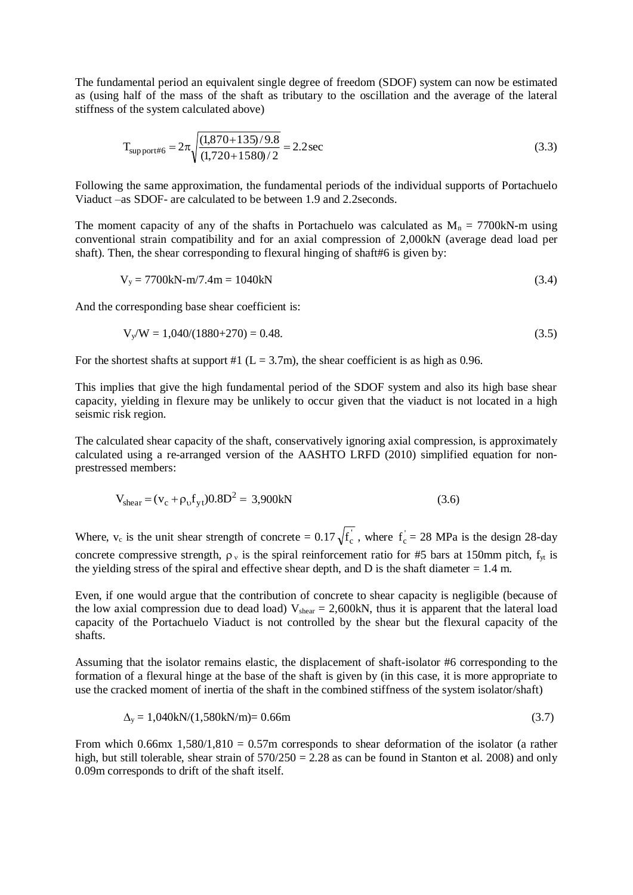The fundamental period an equivalent single degree of freedom (SDOF) system can now be estimated as (using half of the mass of the shaft as tributary to the oscillation and the average of the lateral stiffness of the system calculated above)

$$
T_{\text{support\#6}} = 2\pi \sqrt{\frac{(1,870 + 135)/9.8}{(1,720 + 1580)/2}} = 2.2 \text{ sec}
$$
\n(3.3)

Following the same approximation, the fundamental periods of the individual supports of Portachuelo Viaduct –as SDOF- are calculated to be between 1.9 and 2.2seconds.

The moment capacity of any of the shafts in Portachuelo was calculated as  $M_n = 7700kN$ -m using conventional strain compatibility and for an axial compression of 2,000kN (average dead load per shaft). Then, the shear corresponding to flexural hinging of shaft#6 is given by:

$$
V_y = 7700kN - m/7.4m = 1040kN
$$
\n(3.4)

And the corresponding base shear coefficient is:

$$
V_y/W = 1,040/(1880+270) = 0.48.
$$
\n(3.5)

For the shortest shafts at support #1 ( $L = 3.7$ m), the shear coefficient is as high as 0.96.

This implies that give the high fundamental period of the SDOF system and also its high base shear capacity, yielding in flexure may be unlikely to occur given that the viaduct is not located in a high seismic risk region.

The calculated shear capacity of the shaft, conservatively ignoring axial compression, is approximately calculated using a re-arranged version of the AASHTO LRFD (2010) simplified equation for nonprestressed members:

$$
V_{shear} = (v_c + \rho_0 f_{yt}) 0.8D^2 = 3{,}900kN
$$
\n(3.6)

Where,  $v_c$  is the unit shear strength of concrete = 0.17  $\sqrt{f_c}$ , where  $f_c = 28$  MPa is the design 28-day concrete compressive strength,  $\rho_y$  is the spiral reinforcement ratio for #5 bars at 150mm pitch,  $f_y$  is the yielding stress of the spiral and effective shear depth, and D is the shaft diameter  $= 1.4$  m.

Even, if one would argue that the contribution of concrete to shear capacity is negligible (because of the low axial compression due to dead load)  $V_{shear} = 2{,}600kN$ , thus it is apparent that the lateral load capacity of the Portachuelo Viaduct is not controlled by the shear but the flexural capacity of the shafts.

Assuming that the isolator remains elastic, the displacement of shaft-isolator #6 corresponding to the formation of a flexural hinge at the base of the shaft is given by (in this case, it is more appropriate to use the cracked moment of inertia of the shaft in the combined stiffness of the system isolator/shaft)

$$
\Delta_{y} = 1,040 \text{kN}/(1,580 \text{kN/m}) = 0.66 \text{m}
$$
\n(3.7)

From which  $0.66$ mx  $1,580/1,810 = 0.57$ m corresponds to shear deformation of the isolator (a rather high, but still tolerable, shear strain of  $570/250 = 2.28$  as can be found in Stanton et al. 2008) and only 0.09m corresponds to drift of the shaft itself.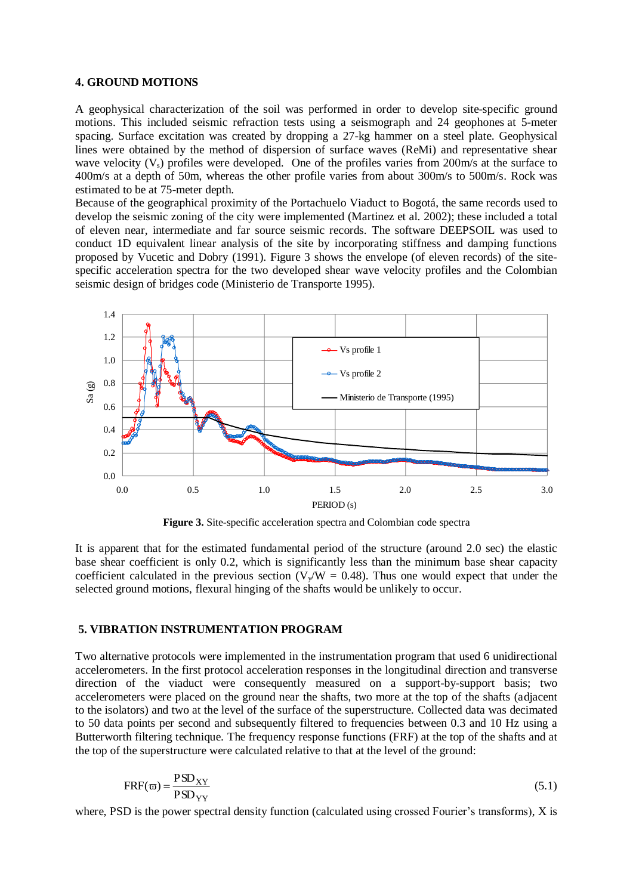#### **4. GROUND MOTIONS**

A geophysical characterization of the soil was performed in order to develop site-specific ground motions. This included seismic refraction tests using a seismograph and 24 geophones at 5-meter spacing. Surface excitation was created by dropping a 27-kg hammer on a steel plate. Geophysical lines were obtained by the method of dispersion of surface waves (ReMi) and representative shear wave velocity  $(V_s)$  profiles were developed. One of the profiles varies from 200 $m/s$  at the surface to 400m/s at a depth of 50m, whereas the other profile varies from about 300m/s to 500m/s. Rock was estimated to be at 75-meter depth.

Because of the geographical proximity of the Portachuelo Viaduct to Bogotá, the same records used to develop the seismic zoning of the city were implemented (Martinez et al. 2002); these included a total of eleven near, intermediate and far source seismic records. The software DEEPSOIL was used to conduct 1D equivalent linear analysis of the site by incorporating stiffness and damping functions proposed by Vucetic and Dobry (1991). Figure 3 shows the envelope (of eleven records) of the sitespecific acceleration spectra for the two developed shear wave velocity profiles and the Colombian seismic design of bridges code (Ministerio de Transporte 1995).



**Figure 3.** Site-specific acceleration spectra and Colombian code spectra

It is apparent that for the estimated fundamental period of the structure (around 2.0 sec) the elastic base shear coefficient is only 0.2, which is significantly less than the minimum base shear capacity coefficient calculated in the previous section ( $V_v/W = 0.48$ ). Thus one would expect that under the selected ground motions, flexural hinging of the shafts would be unlikely to occur.

#### **5. VIBRATION INSTRUMENTATION PROGRAM**

Two alternative protocols were implemented in the instrumentation program that used 6 unidirectional accelerometers. In the first protocol acceleration responses in the longitudinal direction and transverse direction of the viaduct were consequently measured on a support-by-support basis; two accelerometers were placed on the ground near the shafts, two more at the top of the shafts (adjacent to the isolators) and two at the level of the surface of the superstructure. Collected data was decimated to 50 data points per second and subsequently filtered to frequencies between 0.3 and 10 Hz using a Butterworth filtering technique. The frequency response functions (FRF) at the top of the shafts and at the top of the superstructure were calculated relative to that at the level of the ground:

$$
FRF(\varpi) = \frac{PSD_{XY}}{PSD_{YY}}\tag{5.1}
$$

where, PSD is the power spectral density function (calculated using crossed Fourier's transforms), X is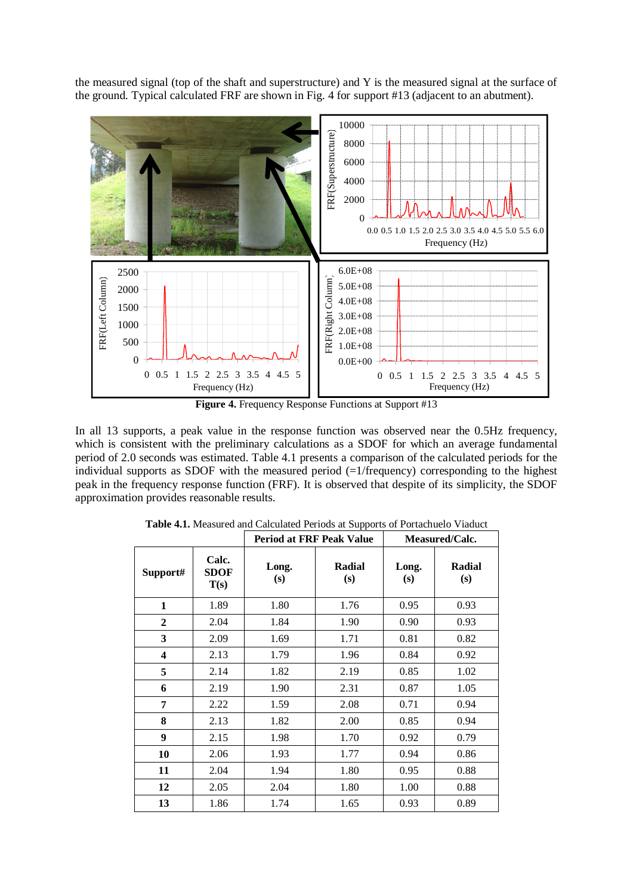the measured signal (top of the shaft and superstructure) and Y is the measured signal at the surface of the ground. Typical calculated FRF are shown in Fig. 4 for support #13 (adjacent to an abutment).



**Figure 4.** Frequency Response Functions at Support #13

In all 13 supports, a peak value in the response function was observed near the 0.5Hz frequency, which is consistent with the preliminary calculations as a SDOF for which an average fundamental period of 2.0 seconds was estimated. Table 4.1 presents a comparison of the calculated periods for the individual supports as SDOF with the measured period  $(=1/\text{frequency})$  corresponding to the highest peak in the frequency response function (FRF). It is observed that despite of its simplicity, the SDOF approximation provides reasonable results.

|                |                       | <b>Period at FRF Peak Value</b> |                      | Measured/Calc. |               |
|----------------|-----------------------|---------------------------------|----------------------|----------------|---------------|
| Support#       | Calc.<br>SDOF<br>T(s) | Long.<br>(s)                    | <b>Radial</b><br>(s) | Long.<br>(s)   | Radial<br>(s) |
| $\mathbf{1}$   | 1.89                  | 1.80                            | 1.76                 | 0.95           | 0.93          |
| $\overline{2}$ | 2.04                  | 1.84                            | 1.90                 | 0.90           | 0.93          |
| 3              | 2.09                  | 1.69                            | 1.71                 | 0.81           | 0.82          |
| 4              | 2.13                  | 1.79                            | 1.96                 | 0.84           | 0.92          |
| 5              | 2.14                  | 1.82                            | 2.19                 | 0.85           | 1.02          |
| 6              | 2.19                  | 1.90                            | 2.31                 | 0.87           | 1.05          |
| 7              | 2.22                  | 1.59                            | 2.08                 | 0.71           | 0.94          |
| 8              | 2.13                  | 1.82                            | 2.00                 | 0.85           | 0.94          |
| 9              | 2.15                  | 1.98                            | 1.70                 | 0.92           | 0.79          |
| 10             | 2.06                  | 1.93                            | 1.77                 | 0.94           | 0.86          |
| 11             | 2.04                  | 1.94                            | 1.80                 | 0.95           | 0.88          |
| 12             | 2.05                  | 2.04                            | 1.80                 | 1.00           | 0.88          |
| 13             | 1.86                  | 1.74                            | 1.65                 | 0.93           | 0.89          |

**Table 4.1.** Measured and Calculated Periods at Supports of Portachuelo Viaduct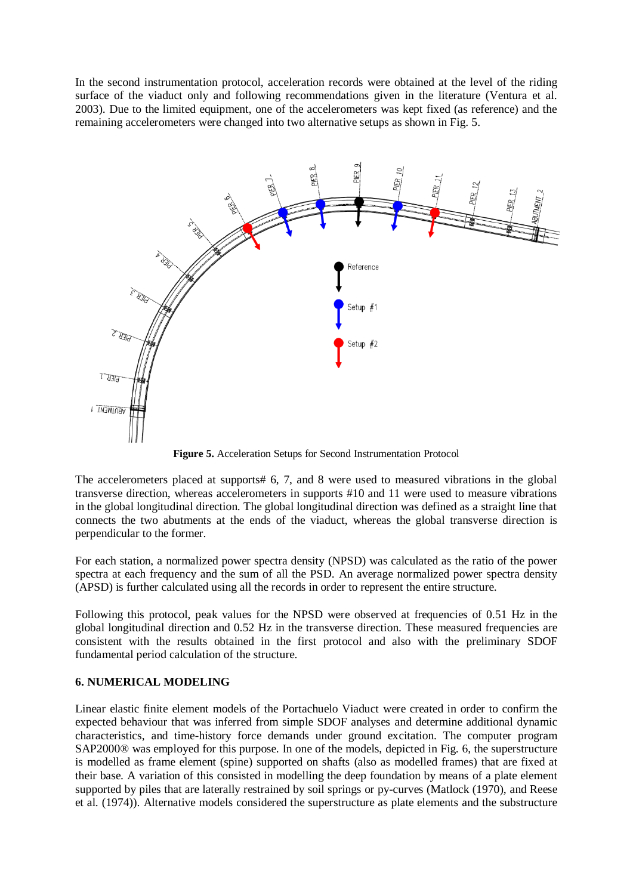In the second instrumentation protocol, acceleration records were obtained at the level of the riding surface of the viaduct only and following recommendations given in the literature (Ventura et al. 2003). Due to the limited equipment, one of the accelerometers was kept fixed (as reference) and the remaining accelerometers were changed into two alternative setups as shown in Fig. 5.



**Figure 5.** Acceleration Setups for Second Instrumentation Protocol

The accelerometers placed at supports# 6, 7, and 8 were used to measured vibrations in the global transverse direction, whereas accelerometers in supports #10 and 11 were used to measure vibrations in the global longitudinal direction. The global longitudinal direction was defined as a straight line that connects the two abutments at the ends of the viaduct, whereas the global transverse direction is perpendicular to the former.

For each station, a normalized power spectra density (NPSD) was calculated as the ratio of the power spectra at each frequency and the sum of all the PSD. An average normalized power spectra density (APSD) is further calculated using all the records in order to represent the entire structure.

Following this protocol, peak values for the NPSD were observed at frequencies of 0.51 Hz in the global longitudinal direction and 0.52 Hz in the transverse direction. These measured frequencies are consistent with the results obtained in the first protocol and also with the preliminary SDOF fundamental period calculation of the structure.

# **6. NUMERICAL MODELING**

Linear elastic finite element models of the Portachuelo Viaduct were created in order to confirm the expected behaviour that was inferred from simple SDOF analyses and determine additional dynamic characteristics, and time-history force demands under ground excitation. The computer program SAP2000® was employed for this purpose. In one of the models, depicted in Fig. 6, the superstructure is modelled as frame element (spine) supported on shafts (also as modelled frames) that are fixed at their base. A variation of this consisted in modelling the deep foundation by means of a plate element supported by piles that are laterally restrained by soil springs or py-curves (Matlock (1970), and Reese et al. (1974)). Alternative models considered the superstructure as plate elements and the substructure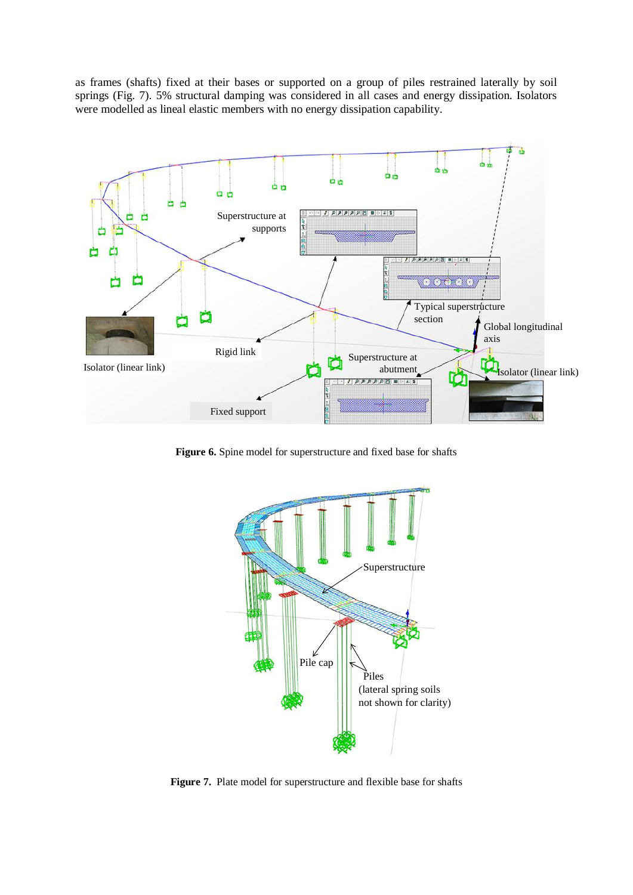as frames (shafts) fixed at their bases or supported on a group of piles restrained laterally by soil springs (Fig. 7). 5% structural damping was considered in all cases and energy dissipation. Isolators were modelled as lineal elastic members with no energy dissipation capability.



**Figure 6.** Spine model for superstructure and fixed base for shafts



**Figure 7.** Plate model for superstructure and flexible base for shafts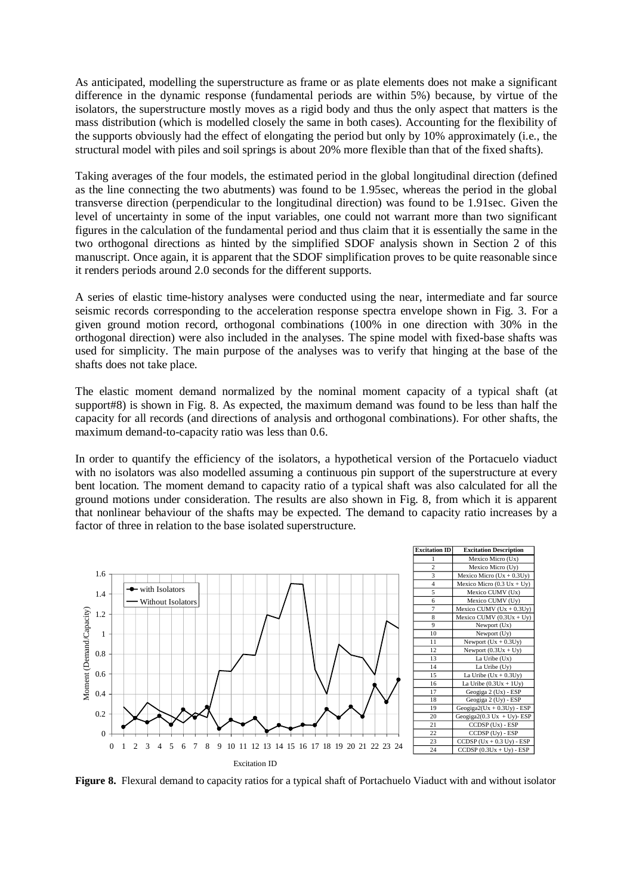As anticipated, modelling the superstructure as frame or as plate elements does not make a significant difference in the dynamic response (fundamental periods are within 5%) because, by virtue of the isolators, the superstructure mostly moves as a rigid body and thus the only aspect that matters is the mass distribution (which is modelled closely the same in both cases). Accounting for the flexibility of the supports obviously had the effect of elongating the period but only by 10% approximately (i.e., the structural model with piles and soil springs is about 20% more flexible than that of the fixed shafts).

Taking averages of the four models, the estimated period in the global longitudinal direction (defined as the line connecting the two abutments) was found to be 1.95sec, whereas the period in the global transverse direction (perpendicular to the longitudinal direction) was found to be 1.91sec. Given the level of uncertainty in some of the input variables, one could not warrant more than two significant figures in the calculation of the fundamental period and thus claim that it is essentially the same in the two orthogonal directions as hinted by the simplified SDOF analysis shown in Section 2 of this manuscript. Once again, it is apparent that the SDOF simplification proves to be quite reasonable since it renders periods around 2.0 seconds for the different supports.

A series of elastic time-history analyses were conducted using the near, intermediate and far source seismic records corresponding to the acceleration response spectra envelope shown in Fig. 3. For a given ground motion record, orthogonal combinations (100% in one direction with 30% in the orthogonal direction) were also included in the analyses. The spine model with fixed-base shafts was used for simplicity. The main purpose of the analyses was to verify that hinging at the base of the shafts does not take place.

The elastic moment demand normalized by the nominal moment capacity of a typical shaft (at support#8) is shown in Fig. 8. As expected, the maximum demand was found to be less than half the capacity for all records (and directions of analysis and orthogonal combinations). For other shafts, the maximum demand-to-capacity ratio was less than 0.6.

In order to quantify the efficiency of the isolators, a hypothetical version of the Portacuelo viaduct with no isolators was also modelled assuming a continuous pin support of the superstructure at every bent location. The moment demand to capacity ratio of a typical shaft was also calculated for all the ground motions under consideration. The results are also shown in Fig. 8, from which it is apparent that nonlinear behaviour of the shafts may be expected. The demand to capacity ratio increases by a factor of three in relation to the base isolated superstructure.



**Figure 8.** Flexural demand to capacity ratios for a typical shaft of Portachuelo Viaduct with and without isolator